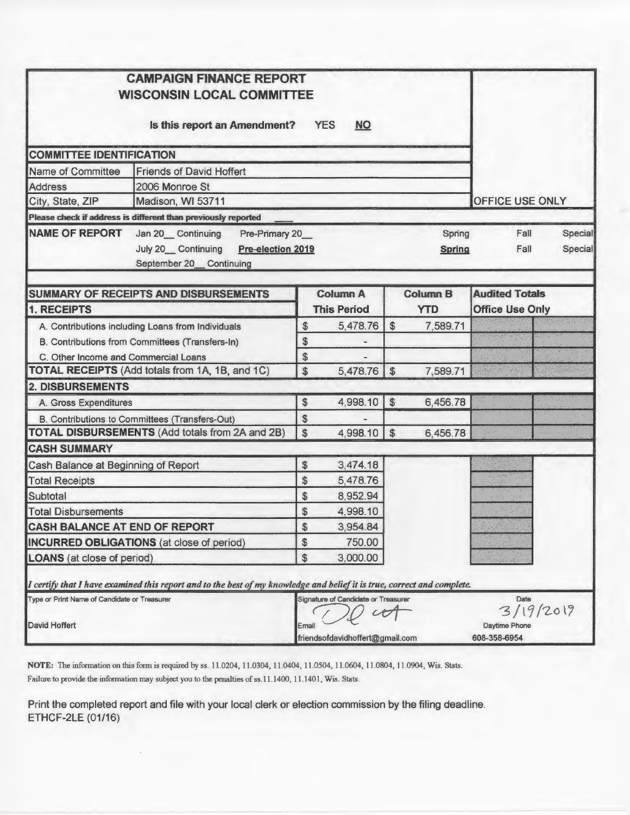| <b>CAMPAIGN FINANCE REPORT</b><br><b>WISCONSIN LOCAL COMMITTEE</b>                                                                    |                |                                     |                  |                         |                               |                   |                    |
|---------------------------------------------------------------------------------------------------------------------------------------|----------------|-------------------------------------|------------------|-------------------------|-------------------------------|-------------------|--------------------|
| Is this report an Amendment?                                                                                                          |                | <b>YES</b><br><b>NO</b>             |                  |                         |                               |                   |                    |
| <b>COMMITTEE IDENTIFICATION</b>                                                                                                       |                |                                     |                  |                         |                               |                   |                    |
| Name of Committee<br><b>Friends of David Hoffert</b>                                                                                  |                |                                     |                  |                         |                               |                   |                    |
| 2006 Monroe St<br><b>Address</b>                                                                                                      |                |                                     |                  |                         |                               |                   |                    |
| Madison, WI 53711<br>City, State, ZIP                                                                                                 |                |                                     |                  |                         | <b>OFFICE USE ONLY</b>        |                   |                    |
| Please check if address is different than previously reported                                                                         |                |                                     |                  |                         |                               |                   |                    |
| <b>NAME OF REPORT</b><br>Pre-Primary 20_<br>Jan 20__Continuing<br>July 20 Continuing<br>Pre-election 2019<br>September 20_ Continuing |                |                                     |                  | Spring<br><b>Spring</b> |                               | Fall<br>Fall      | Special<br>Special |
| <b>SUMMARY OF RECEIPTS AND DISBURSEMENTS</b>                                                                                          |                | <b>Column A</b>                     |                  | <b>Column B</b>         | <b>Audited Totals</b>         |                   |                    |
| 1. RECEIPTS                                                                                                                           |                | <b>This Period</b>                  |                  | <b>YTD</b>              | <b>Office Use Only</b>        |                   |                    |
| A. Contributions including Loans from Individuals                                                                                     | \$             | 5,478.76                            | $$\mathfrak{F}$$ | 7,589.71                |                               |                   |                    |
| B. Contributions from Committees (Transfers-In)                                                                                       | \$             |                                     |                  |                         |                               |                   |                    |
| C. Other Income and Commercial Loans                                                                                                  | $\$\$          |                                     |                  |                         |                               |                   |                    |
| TOTAL RECEIPTS (Add totals from 1A, 1B, and 1C)                                                                                       | \$             | 5,478.76                            | $\mathfrak{F}$   | 7,589.71                |                               |                   |                    |
| <b>2. DISBURSEMENTS</b>                                                                                                               |                |                                     |                  |                         |                               |                   |                    |
| A. Gross Expenditures                                                                                                                 | $\frac{1}{2}$  | 4,998.10                            | $\frac{1}{2}$    | 6,456.78                |                               |                   |                    |
| B. Contributions to Committees (Transfers-Out)                                                                                        | \$             |                                     |                  |                         |                               |                   |                    |
| <b>TOTAL DISBURSEMENTS (Add totals from 2A and 2B)</b>                                                                                | $\frac{1}{2}$  | 4,998.10                            | $\mathfrak{F}$   | 6,456.78                |                               |                   |                    |
| <b>CASH SUMMARY</b>                                                                                                                   |                |                                     |                  |                         |                               |                   |                    |
| Cash Balance at Beginning of Report                                                                                                   | $\frac{1}{2}$  | 3,474.18                            |                  |                         |                               |                   |                    |
| <b>Total Receipts</b>                                                                                                                 | $\frac{1}{2}$  | 5,478.76                            |                  |                         |                               |                   |                    |
| Subtotal                                                                                                                              | \$             | 8,952.94                            |                  |                         |                               |                   |                    |
| <b>Total Disbursements</b>                                                                                                            | \$             | 4,998.10                            |                  |                         |                               |                   |                    |
| CASH BALANCE AT END OF REPORT                                                                                                         | \$             | 3,954.84                            |                  |                         |                               |                   |                    |
| <b>INCURRED OBLIGATIONS</b> (at close of period)                                                                                      | \$             | 750.00                              |                  |                         |                               |                   |                    |
| <b>LOANS</b> (at close of period)                                                                                                     | $\mathfrak{S}$ | 3,000.00                            |                  |                         |                               |                   |                    |
| I certify that I have examined this report and to the best of my knowledge and belief it is true, correct and complete.               |                |                                     |                  |                         |                               |                   |                    |
| Type or Print Name of Candidate or Treasurer                                                                                          |                | Signature of Candidate or Treasurer |                  |                         |                               | Date<br>3/19/2019 |                    |
| David Hoffert                                                                                                                         | Email          | friendsofdavidhoffert@gmail.com     |                  |                         | Daytime Phone<br>608-358-6954 |                   |                    |

NOTE: The information on this form is required by ss. 11.0204, 11.0304, 11.0404, 11.0504, 11.0604, 11.0804, 11.0904, Wis. Stats. Failure to provide the information may subject you to the penalties of ss.11.1400, 11.1401, Wis. Stats.

Print the completed report and file with your local clerk or election commission by the filing deadline. ETHCF-2LE (01/16)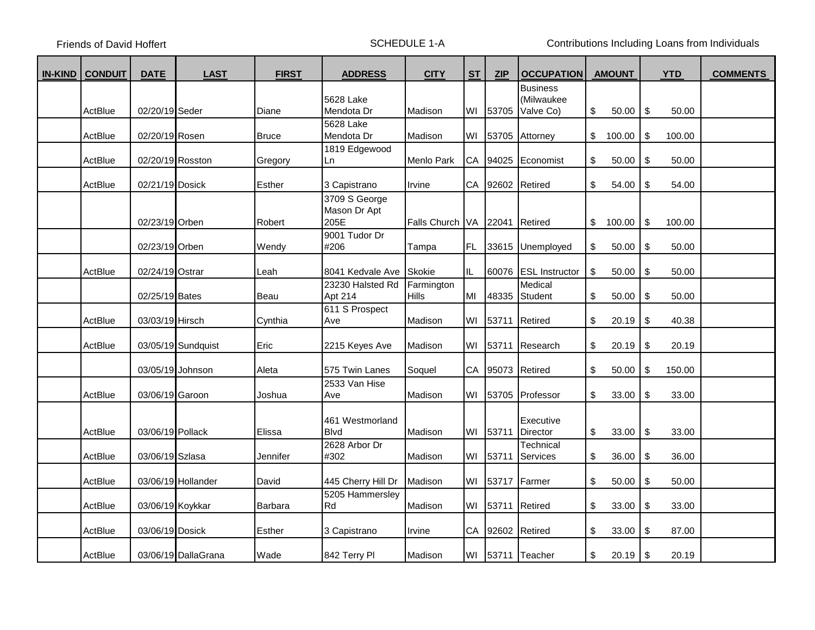Friends of David Hoffert **SCHEDULE 1-A** Contributions Including Loans from Individuals

| <b>IN-KIND</b> | <b>CONDUIT</b> | <b>DATE</b>      | <b>LAST</b>         | <b>FIRST</b>  | <b>ADDRESS</b>                        | <b>CITY</b>                | <b>ST</b> | <b>ZIP</b> | <b>OCCUPATION</b>             | <b>AMOUNT</b> | <b>YTD</b>   | <b>COMMENTS</b> |
|----------------|----------------|------------------|---------------------|---------------|---------------------------------------|----------------------------|-----------|------------|-------------------------------|---------------|--------------|-----------------|
|                |                |                  |                     |               | 5628 Lake                             |                            |           |            | <b>Business</b><br>(Milwaukee |               |              |                 |
|                | ActBlue        | 02/20/19 Seder   |                     | Diane         | Mendota Dr                            | Madison                    | WI        | 53705      | Valve Co)                     | \$<br>50.00   | \$<br>50.00  |                 |
|                | ActBlue        | 02/20/19 Rosen   |                     | <b>Bruce</b>  | 5628 Lake<br>Mendota Dr               | Madison                    | WI        | 53705      | Attorney                      | \$<br>100.00  | \$<br>100.00 |                 |
|                | ActBlue        | 02/20/19 Rosston |                     | Gregory       | 1819 Edgewood<br>Ln                   | Menlo Park                 |           | CA 94025   | Economist                     | \$<br>50.00   | \$<br>50.00  |                 |
|                | ActBlue        | 02/21/19 Dosick  |                     | <b>Esther</b> | 3 Capistrano                          | Irvine                     | CA        | 92602      | Retired                       | \$<br>54.00   | \$<br>54.00  |                 |
|                |                | 02/23/19 Orben   |                     | Robert        | 3709 S George<br>Mason Dr Apt<br>205E | <b>Falls Church</b>        | <b>VA</b> | 22041      | Retired                       | \$<br>100.00  | \$<br>100.00 |                 |
|                |                | 02/23/19 Orben   |                     | Wendy         | 9001 Tudor Dr<br>#206                 | Tampa                      | FL.       | 33615      | Unemployed                    | \$<br>50.00   | \$<br>50.00  |                 |
|                | ActBlue        | 02/24/19 Ostrar  |                     | Leah          | 8041 Kedvale Ave                      | <b>Skokie</b>              | IL.       | 60076      | <b>ESL</b> Instructor         | \$<br>50.00   | \$<br>50.00  |                 |
|                |                | 02/25/19 Bates   |                     | Beau          | 23230 Halsted Rd<br>Apt 214           | Farmington<br><b>Hills</b> | MI        | 48335      | Medical<br>Student            | \$<br>50.00   | \$<br>50.00  |                 |
|                | ActBlue        | 03/03/19 Hirsch  |                     | Cynthia       | 611 S Prospect<br>Ave                 | Madison                    | WI        | 53711      | Retired                       | \$<br>20.19   | \$<br>40.38  |                 |
|                | ActBlue        |                  | 03/05/19 Sundquist  | Eric          | 2215 Keyes Ave                        | Madison                    | WI        | 53711      | Research                      | \$<br>20.19   | \$<br>20.19  |                 |
|                |                |                  | 03/05/19 Johnson    | Aleta         | 575 Twin Lanes                        | Soquel                     |           | CA 95073   | Retired                       | \$<br>50.00   | \$<br>150.00 |                 |
|                | ActBlue        | 03/06/19 Garoon  |                     | Joshua        | 2533 Van Hise<br>Ave                  | Madison                    | WI        | 53705      | Professor                     | \$<br>33.00   | \$<br>33.00  |                 |
|                | ActBlue        | 03/06/19 Pollack |                     | Elissa        | 461 Westmorland<br><b>Blvd</b>        | Madison                    |           | WI 53711   | Executive<br>Director         | \$<br>33.00   | \$<br>33.00  |                 |
|                | ActBlue        | 03/06/19 Szlasa  |                     | Jennifer      | 2628 Arbor Dr<br>#302                 | Madison                    | WI        | 53711      | Technical<br>Services         | \$<br>36.00   | \$<br>36.00  |                 |
|                | ActBlue        |                  | 03/06/19 Hollander  | David         | 445 Cherry Hill Dr                    | Madison                    | WI        | 53717      | Farmer                        | \$<br>50.00   | \$<br>50.00  |                 |
|                | ActBlue        | 03/06/19 Koykkar |                     | Barbara       | 5205 Hammersley<br>Rd                 | Madison                    | WI        | 53711      | Retired                       | \$<br>33.00   | \$<br>33.00  |                 |
|                | ActBlue        | 03/06/19 Dosick  |                     | Esther        | 3 Capistrano                          | Irvine                     | CA        | 92602      | Retired                       | \$<br>33.00   | \$<br>87.00  |                 |
|                | ActBlue        |                  | 03/06/19 DallaGrana | Wade          | 842 Terry Pl                          | Madison                    | WI        | 53711      | Teacher                       | \$<br>20.19   | \$<br>20.19  |                 |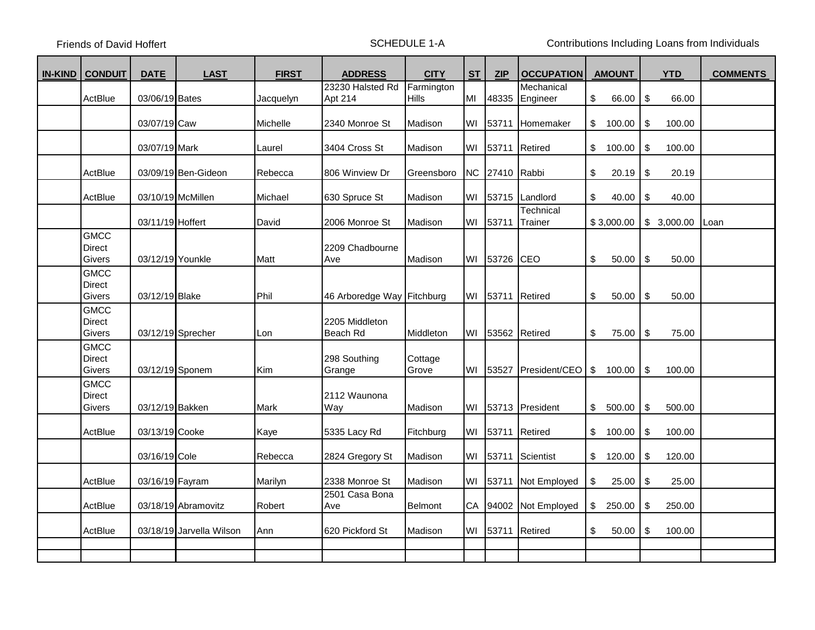Friends of David Hoffert **SCHEDULE 1-A** Contributions Including Loans from Individuals

| <b>IN-KIND</b> | <b>CONDUIT</b>                         | <b>DATE</b>      | <b>LAST</b>              | <b>FIRST</b> | <b>ADDRESS</b>             | <b>CITY</b>      | <b>ST</b> | <b>ZIP</b> | <b>OCCUPATION</b>    | <b>AMOUNT</b> |             |    |            | <b>YTD</b> | <b>COMMENTS</b> |
|----------------|----------------------------------------|------------------|--------------------------|--------------|----------------------------|------------------|-----------|------------|----------------------|---------------|-------------|----|------------|------------|-----------------|
|                |                                        |                  |                          |              | 23230 Halsted Rd           | Farmington       |           |            | Mechanical           |               |             |    |            |            |                 |
|                | ActBlue                                | 03/06/19 Bates   |                          | Jacquelyn    | Apt 214                    | Hills            | MI        | 48335      | Engineer             | \$            | 66.00       | \$ | 66.00      |            |                 |
|                |                                        | 03/07/19 Caw     |                          | Michelle     | 2340 Monroe St             | Madison          | WI        | 53711      | <b>Homemaker</b>     | \$            | 100.00      | \$ | 100.00     |            |                 |
|                |                                        | 03/07/19 Mark    |                          | Laurel       | 3404 Cross St              | Madison          | WI        | 53711      | Retired              | $\mathbb{S}$  | 100.00      | \$ | 100.00     |            |                 |
|                | ActBlue                                |                  | 03/09/19 Ben-Gideon      | Rebecca      | 806 Winview Dr             | Greensboro       | <b>NC</b> | 27410      | Rabbi                | \$            | 20.19       | \$ | 20.19      |            |                 |
|                | ActBlue                                |                  | 03/10/19 McMillen        | Michael      | 630 Spruce St              | Madison          | WI        | 53715      | Landlord             | \$            | \$<br>40.00 |    | 40.00      |            |                 |
|                |                                        | 03/11/19 Hoffert |                          | David        | 2006 Monroe St             | Madison          | WI        | 53711      | Technical<br>Trainer |               | \$3,000.00  |    | \$3,000.00 | Loan       |                 |
|                | <b>GMCC</b><br><b>Direct</b><br>Givers | 03/12/19 Younkle |                          | Matt         | 2209 Chadbourne<br>Ave     | Madison          | WI        | 53726      | <b>ICEO</b>          | \$            | 50.00       |    | 50.00      |            |                 |
|                | <b>GMCC</b><br><b>Direct</b><br>Givers | 03/12/19 Blake   |                          | Phil         | 46 Arboredge Way Fitchburg |                  | WI        | 53711      | Retired              | \$            | 50.00       | \$ | 50.00      |            |                 |
|                | <b>GMCC</b><br><b>Direct</b><br>Givers |                  | 03/12/19 Sprecher        | Lon          | 2205 Middleton<br>Beach Rd | Middleton        | WI        |            | 53562 Retired        | \$            | 75.00       | \$ | 75.00      |            |                 |
|                | <b>GMCC</b><br><b>Direct</b><br>Givers | 03/12/19 Sponem  |                          | Kim          | 298 Southing<br>Grange     | Cottage<br>Grove | WI        | 53527      | President/CEO        | \$            | 100.00      | \$ | 100.00     |            |                 |
|                | <b>GMCC</b><br><b>Direct</b><br>Givers | 03/12/19 Bakken  |                          | Mark         | 2112 Waunona<br>Way        | Madison          | WI        |            | 53713 President      | \$            | 500.00      | \$ | 500.00     |            |                 |
|                | ActBlue                                | 03/13/19 Cooke   |                          | Kaye         | 5335 Lacy Rd               | Fitchburg        | WI        | 53711      | Retired              | $\frac{1}{2}$ | 100.00      | \$ | 100.00     |            |                 |
|                |                                        | 03/16/19 Cole    |                          | Rebecca      | 2824 Gregory St            | Madison          | WI        | 53711      | Scientist            | \$            | 120.00      | \$ | 120.00     |            |                 |
|                | ActBlue                                | 03/16/19 Fayram  |                          | Marilyn      | 2338 Monroe St             | Madison          | WI        | 53711      | Not Employed         | \$            | 25.00       | \$ | 25.00      |            |                 |
|                | ActBlue                                |                  | 03/18/19 Abramovitz      | Robert       | 2501 Casa Bona<br>Ave      | Belmont          | CA        | 94002      | Not Employed         | \$            | 250.00      | \$ | 250.00     |            |                 |
|                | ActBlue                                |                  | 03/18/19 Jarvella Wilson | Ann          | 620 Pickford St            | Madison          | WI        | 53711      | Retired              | \$            | 50.00       | \$ | 100.00     |            |                 |
|                |                                        |                  |                          |              |                            |                  |           |            |                      |               |             |    |            |            |                 |
|                |                                        |                  |                          |              |                            |                  |           |            |                      |               |             |    |            |            |                 |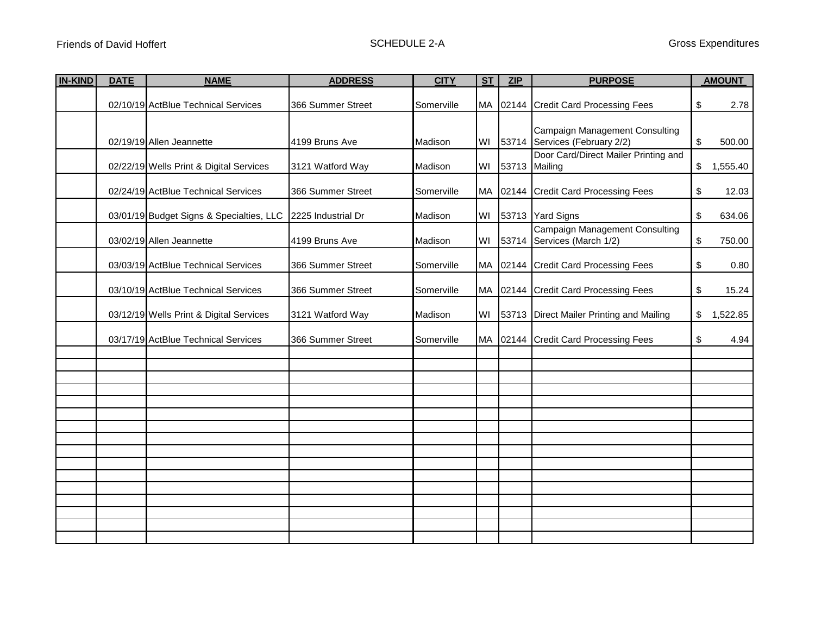| <b>IN-KIND</b> | <b>DATE</b> | <b>NAME</b>                              | <b>ADDRESS</b>     | <b>CITY</b><br>ST<br><b>ZIP</b> |           | <b>PURPOSE</b>                                                        |    | <b>AMOUNT</b> |
|----------------|-------------|------------------------------------------|--------------------|---------------------------------|-----------|-----------------------------------------------------------------------|----|---------------|
|                |             | 02/10/19 ActBlue Technical Services      | 366 Summer Street  | Somerville                      | <b>MA</b> | 02144 Credit Card Processing Fees<br>\$                               |    | 2.78          |
|                |             | 02/19/19 Allen Jeannette                 | 4199 Bruns Ave     | Madison                         | WI        | Campaign Management Consulting<br>53714 Services (February 2/2)<br>\$ |    | 500.00        |
|                |             | 02/22/19 Wells Print & Digital Services  | 3121 Watford Way   | Madison                         | WI        | Door Card/Direct Mailer Printing and<br>53713 Mailing                 | \$ | 1,555.40      |
|                |             | 02/24/19 ActBlue Technical Services      | 366 Summer Street  | Somerville                      | <b>MA</b> | 02144 Credit Card Processing Fees                                     | \$ | 12.03         |
|                |             | 03/01/19 Budget Signs & Specialties, LLC | 2225 Industrial Dr | Madison                         | WI        | 53713 Yard Signs                                                      |    | 634.06        |
|                |             | 03/02/19 Allen Jeannette                 | 4199 Bruns Ave     | Madison                         | WI        | <b>Campaign Management Consulting</b><br>53714 Services (March 1/2)   | \$ | 750.00        |
|                |             | 03/03/19 ActBlue Technical Services      | 366 Summer Street  | Somerville                      | MA        | 02144 Credit Card Processing Fees                                     | \$ | 0.80          |
|                |             | 03/10/19 ActBlue Technical Services      | 366 Summer Street  | Somerville                      | MA        | 02144 Credit Card Processing Fees                                     | \$ | 15.24         |
|                |             | 03/12/19 Wells Print & Digital Services  | 3121 Watford Way   | Madison                         | WI        | 53713 Direct Mailer Printing and Mailing                              | \$ | 1,522.85      |
|                |             | 03/17/19 ActBlue Technical Services      | 366 Summer Street  | Somerville                      |           | MA 02144 Credit Card Processing Fees                                  | \$ | 4.94          |
|                |             |                                          |                    |                                 |           |                                                                       |    |               |
|                |             |                                          |                    |                                 |           |                                                                       |    |               |
|                |             |                                          |                    |                                 |           |                                                                       |    |               |
|                |             |                                          |                    |                                 |           |                                                                       |    |               |
|                |             |                                          |                    |                                 |           |                                                                       |    |               |
|                |             |                                          |                    |                                 |           |                                                                       |    |               |
|                |             |                                          |                    |                                 |           |                                                                       |    |               |
|                |             |                                          |                    |                                 |           |                                                                       |    |               |
|                |             |                                          |                    |                                 |           |                                                                       |    |               |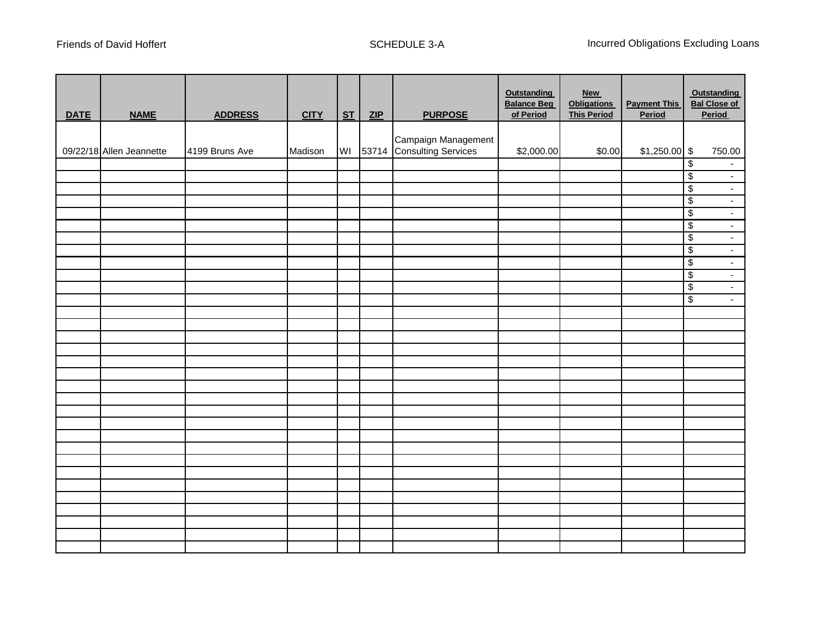| <b>DATE</b> | <b>NAME</b>              | <b>ADDRESS</b> | <b>CITY</b> | ST | ZIP | <b>PURPOSE</b>            | <b>Outstanding</b><br><b>Balance Beg</b><br>of Period | <b>New</b><br><b>Obligations</b><br><b>This Period</b> | <b>Payment This</b><br>Period |                          | Outstanding<br><b>Bal Close of</b><br>Period |
|-------------|--------------------------|----------------|-------------|----|-----|---------------------------|-------------------------------------------------------|--------------------------------------------------------|-------------------------------|--------------------------|----------------------------------------------|
|             |                          |                |             |    |     |                           |                                                       |                                                        |                               |                          |                                              |
|             |                          |                |             |    |     | Campaign Management       |                                                       |                                                        |                               |                          |                                              |
|             | 09/22/18 Allen Jeannette | 4199 Bruns Ave | Madison     | WI |     | 53714 Consulting Services | \$2,000.00                                            | \$0.00                                                 | $$1,250.00$ \$                |                          | 750.00                                       |
|             |                          |                |             |    |     |                           |                                                       |                                                        |                               | $\overline{\mathcal{E}}$ | $\sim$                                       |
|             |                          |                |             |    |     |                           |                                                       |                                                        |                               | $\overline{\mathcal{E}}$ | Ŧ,                                           |
|             |                          |                |             |    |     |                           |                                                       |                                                        |                               | $\overline{\mathcal{E}}$ | $\overline{\mathcal{L}}$                     |
|             |                          |                |             |    |     |                           |                                                       |                                                        |                               | $\sqrt[6]{\frac{2}{5}}$  | $\overline{\phantom{0}}$                     |
|             |                          |                |             |    |     |                           |                                                       |                                                        |                               | $\overline{\mathcal{E}}$ | Ξ                                            |
|             |                          |                |             |    |     |                           |                                                       |                                                        |                               | $\overline{\mathcal{E}}$ | Ξ                                            |
|             |                          |                |             |    |     |                           |                                                       |                                                        |                               | $\overline{\mathcal{E}}$ | Ξ                                            |
|             |                          |                |             |    |     |                           |                                                       |                                                        |                               | $\overline{\mathcal{E}}$ | $\overline{\phantom{a}}$                     |
|             |                          |                |             |    |     |                           |                                                       |                                                        |                               | $\overline{\mathcal{E}}$ | $\overline{\mathcal{L}}$                     |
|             |                          |                |             |    |     |                           |                                                       |                                                        |                               | $\overline{\$}$          | $\overline{\mathcal{L}}$                     |
|             |                          |                |             |    |     |                           |                                                       |                                                        |                               | $\overline{\$}$          | $\omega_{\rm c}$                             |
|             |                          |                |             |    |     |                           |                                                       |                                                        |                               | $\overline{\$}$          | $\omega_{\rm c}$                             |
|             |                          |                |             |    |     |                           |                                                       |                                                        |                               |                          |                                              |
|             |                          |                |             |    |     |                           |                                                       |                                                        |                               |                          |                                              |
|             |                          |                |             |    |     |                           |                                                       |                                                        |                               |                          |                                              |
|             |                          |                |             |    |     |                           |                                                       |                                                        |                               |                          |                                              |
|             |                          |                |             |    |     |                           |                                                       |                                                        |                               |                          |                                              |
|             |                          |                |             |    |     |                           |                                                       |                                                        |                               |                          |                                              |
|             |                          |                |             |    |     |                           |                                                       |                                                        |                               |                          |                                              |
|             |                          |                |             |    |     |                           |                                                       |                                                        |                               |                          |                                              |
|             |                          |                |             |    |     |                           |                                                       |                                                        |                               |                          |                                              |
|             |                          |                |             |    |     |                           |                                                       |                                                        |                               |                          |                                              |
|             |                          |                |             |    |     |                           |                                                       |                                                        |                               |                          |                                              |
|             |                          |                |             |    |     |                           |                                                       |                                                        |                               |                          |                                              |
|             |                          |                |             |    |     |                           |                                                       |                                                        |                               |                          |                                              |
|             |                          |                |             |    |     |                           |                                                       |                                                        |                               |                          |                                              |
|             |                          |                |             |    |     |                           |                                                       |                                                        |                               |                          |                                              |
|             |                          |                |             |    |     |                           |                                                       |                                                        |                               |                          |                                              |
|             |                          |                |             |    |     |                           |                                                       |                                                        |                               |                          |                                              |
|             |                          |                |             |    |     |                           |                                                       |                                                        |                               |                          |                                              |
|             |                          |                |             |    |     |                           |                                                       |                                                        |                               |                          |                                              |